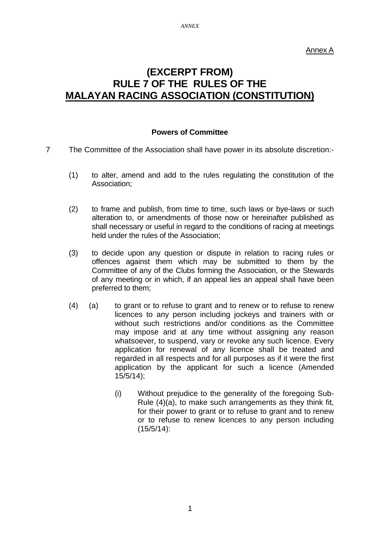Annex A

# **(EXCERPT FROM) RULE 7 OF THE RULES OF THE MALAYAN RACING ASSOCIATION (CONSTITUTION)**

### **Powers of Committee**

- 7 The Committee of the Association shall have power in its absolute discretion:-
	- (1) to alter, amend and add to the rules regulating the constitution of the Association;
	- (2) to frame and publish, from time to time, such laws or bye-laws or such alteration to, or amendments of those now or hereinafter published as shall necessary or useful in regard to the conditions of racing at meetings held under the rules of the Association;
	- (3) to decide upon any question or dispute in relation to racing rules or offences against them which may be submitted to them by the Committee of any of the Clubs forming the Association, or the Stewards of any meeting or in which, if an appeal lies an appeal shall have been preferred to them;
	- (4) (a) to grant or to refuse to grant and to renew or to refuse to renew licences to any person including jockeys and trainers with or without such restrictions and/or conditions as the Committee may impose and at any time without assigning any reason whatsoever, to suspend, vary or revoke any such licence. Every application for renewal of any licence shall be treated and regarded in all respects and for all purposes as if it were the first application by the applicant for such a licence (Amended 15/5/14);
		- (i) Without prejudice to the generality of the foregoing Sub-Rule (4)(a), to make such arrangements as they think fit, for their power to grant or to refuse to grant and to renew or to refuse to renew licences to any person including (15/5/14):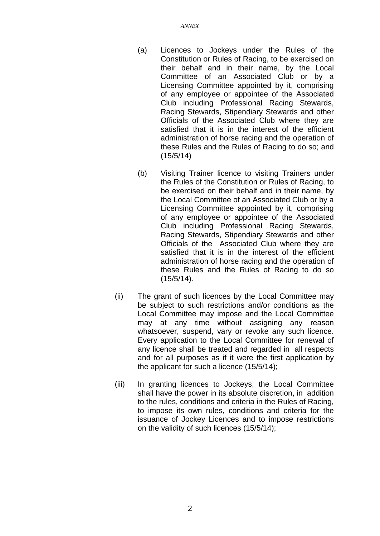- (a) Licences to Jockeys under the Rules of the Constitution or Rules of Racing, to be exercised on their behalf and in their name, by the Local Committee of an Associated Club or by a Licensing Committee appointed by it, comprising of any employee or appointee of the Associated Club including Professional Racing Stewards, Racing Stewards, Stipendiary Stewards and other Officials of the Associated Club where they are satisfied that it is in the interest of the efficient administration of horse racing and the operation of these Rules and the Rules of Racing to do so; and (15/5/14)
- (b) Visiting Trainer licence to visiting Trainers under the Rules of the Constitution or Rules of Racing, to be exercised on their behalf and in their name, by the Local Committee of an Associated Club or by a Licensing Committee appointed by it, comprising of any employee or appointee of the Associated Club including Professional Racing Stewards, Racing Stewards, Stipendiary Stewards and other Officials of the Associated Club where they are satisfied that it is in the interest of the efficient administration of horse racing and the operation of these Rules and the Rules of Racing to do so (15/5/14).
- (ii) The grant of such licences by the Local Committee may be subject to such restrictions and/or conditions as the Local Committee may impose and the Local Committee may at any time without assigning any reason whatsoever, suspend, vary or revoke any such licence. Every application to the Local Committee for renewal of any licence shall be treated and regarded in all respects and for all purposes as if it were the first application by the applicant for such a licence (15/5/14);
- (iii) In granting licences to Jockeys, the Local Committee shall have the power in its absolute discretion, in addition to the rules, conditions and criteria in the Rules of Racing, to impose its own rules, conditions and criteria for the issuance of Jockey Licences and to impose restrictions on the validity of such licences (15/5/14);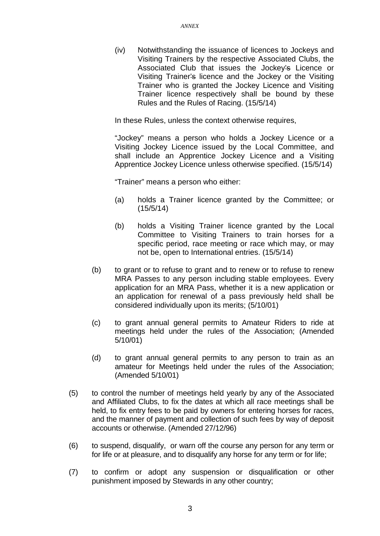(iv) Notwithstanding the issuance of licences to Jockeys and Visiting Trainers by the respective Associated Clubs, the Associated Club that issues the Jockey's Licence or Visiting Trainer's licence and the Jockey or the Visiting Trainer who is granted the Jockey Licence and Visiting Trainer licence respectively shall be bound by these Rules and the Rules of Racing. (15/5/14)

In these Rules, unless the context otherwise requires,

"Jockey" means a person who holds a Jockey Licence or a Visiting Jockey Licence issued by the Local Committee, and shall include an Apprentice Jockey Licence and a Visiting Apprentice Jockey Licence unless otherwise specified. (15/5/14)

"Trainer" means a person who either:

- (a) holds a Trainer licence granted by the Committee; or (15/5/14)
- (b) holds a Visiting Trainer licence granted by the Local Committee to Visiting Trainers to train horses for a specific period, race meeting or race which may, or may not be, open to International entries. (15/5/14)
- (b) to grant or to refuse to grant and to renew or to refuse to renew MRA Passes to any person including stable employees. Every application for an MRA Pass, whether it is a new application or an application for renewal of a pass previously held shall be considered individually upon its merits; (5/10/01)
- (c) to grant annual general permits to Amateur Riders to ride at meetings held under the rules of the Association; (Amended 5/10/01)
- (d) to grant annual general permits to any person to train as an amateur for Meetings held under the rules of the Association; (Amended 5/10/01)
- (5) to control the number of meetings held yearly by any of the Associated and Affiliated Clubs, to fix the dates at which all race meetings shall be held, to fix entry fees to be paid by owners for entering horses for races, and the manner of payment and collection of such fees by way of deposit accounts or otherwise. (Amended 27/12/96)
- (6) to suspend, disqualify, or warn off the course any person for any term or for life or at pleasure, and to disqualify any horse for any term or for life;
- (7) to confirm or adopt any suspension or disqualification or other punishment imposed by Stewards in any other country;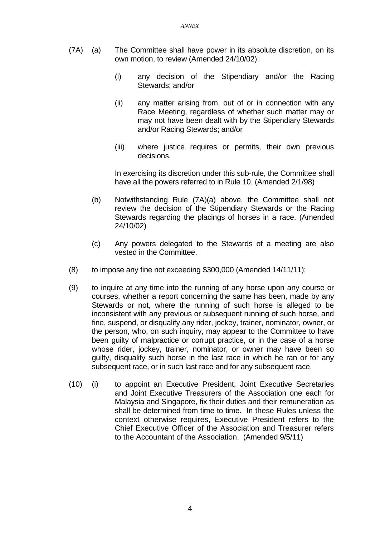- (7A) (a) The Committee shall have power in its absolute discretion, on its own motion, to review (Amended 24/10/02):
	- (i) any decision of the Stipendiary and/or the Racing Stewards; and/or
	- (ii) any matter arising from, out of or in connection with any Race Meeting, regardless of whether such matter may or may not have been dealt with by the Stipendiary Stewards and/or Racing Stewards; and/or
	- (iii) where justice requires or permits, their own previous decisions.

In exercising its discretion under this sub-rule, the Committee shall have all the powers referred to in Rule 10. (Amended 2/1/98)

- (b) Notwithstanding Rule (7A)(a) above, the Committee shall not review the decision of the Stipendiary Stewards or the Racing Stewards regarding the placings of horses in a race. (Amended 24/10/02)
- (c) Any powers delegated to the Stewards of a meeting are also vested in the Committee.
- (8) to impose any fine not exceeding \$300,000 (Amended 14/11/11);
- (9) to inquire at any time into the running of any horse upon any course or courses, whether a report concerning the same has been, made by any Stewards or not, where the running of such horse is alleged to be inconsistent with any previous or subsequent running of such horse, and fine, suspend, or disqualify any rider, jockey, trainer, nominator, owner, or the person, who, on such inquiry, may appear to the Committee to have been guilty of malpractice or corrupt practice, or in the case of a horse whose rider, jockey, trainer, nominator, or owner may have been so guilty, disqualify such horse in the last race in which he ran or for any subsequent race, or in such last race and for any subsequent race.
- (10) (i) to appoint an Executive President, Joint Executive Secretaries and Joint Executive Treasurers of the Association one each for Malaysia and Singapore, fix their duties and their remuneration as shall be determined from time to time. In these Rules unless the context otherwise requires, Executive President refers to the Chief Executive Officer of the Association and Treasurer refers to the Accountant of the Association. (Amended 9/5/11)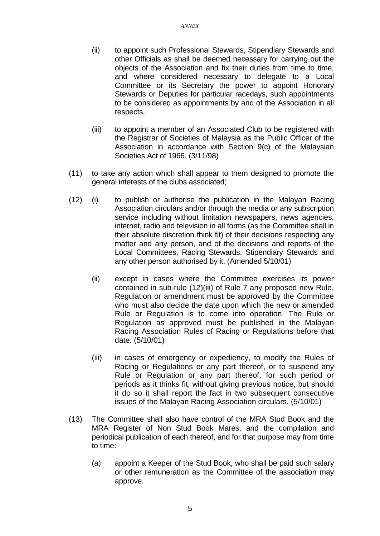- (ii) to appoint such Professional Stewards, Stipendiary Stewards and other Officials as shall be deemed necessary for carrying out the objects of the Association and fix their duties from time to time, and where considered necessary to delegate to a Local Committee or its Secretary the power to appoint Honorary Stewards or Deputies for particular racedays, such appointments to be considered as appointments by and of the Association in all respects.
- (iii) to appoint a member of an Associated Club to be registered with the Registrar of Societies of Malaysia as the Public Officer of the Association in accordance with Section 9(c) of the Malaysian Societies Act of 1966. (3/11/98)
- (11) to take any action which shall appear to them designed to promote the general interests of the clubs associated;
- (12) (i) to publish or authorise the publication in the Malayan Racing Association circulars and/or through the media or any subscription service including without limitation newspapers, news agencies, internet, radio and television in all forms (as the Committee shall in their absolute discretion think fit) of their decisions respecting any matter and any person, and of the decisions and reports of the Local Committees, Racing Stewards, Stipendiary Stewards and any other person authorised by it. (Amended 5/10/01)
	- (ii) except in cases where the Committee exercises its power contained in sub-rule (12)(iii) of Rule 7 any proposed new Rule, Regulation or amendment must be approved by the Committee who must also decide the date upon which the new or amended Rule or Regulation is to come into operation. The Rule or Regulation as approved must be published in the Malayan Racing Association Rules of Racing or Regulations before that date. (5/10/01)
	- (iii) in cases of emergency or expediency, to modify the Rules of Racing or Regulations or any part thereof, or to suspend any Rule or Regulation or any part thereof, for such period or periods as it thinks fit, without giving previous notice, but should it do so it shall report the fact in two subsequent consecutive issues of the Malayan Racing Association circulars. (5/10/01)
- (13) The Committee shall also have control of the MRA Stud Book and the MRA Register of Non Stud Book Mares, and the compilation and periodical publication of each thereof, and for that purpose may from time to time:
	- (a) appoint a Keeper of the Stud Book, who shall be paid such salary or other remuneration as the Committee of the association may approve.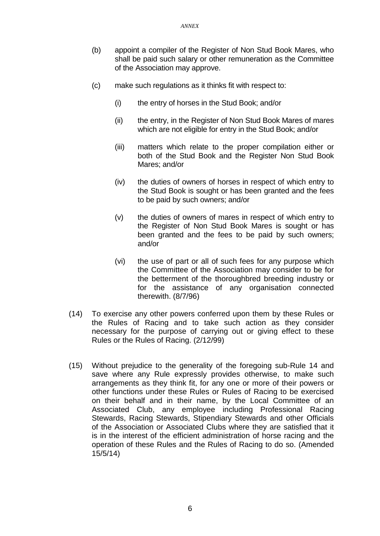- (b) appoint a compiler of the Register of Non Stud Book Mares, who shall be paid such salary or other remuneration as the Committee of the Association may approve.
- (c) make such regulations as it thinks fit with respect to:
	- (i) the entry of horses in the Stud Book; and/or
	- (ii) the entry, in the Register of Non Stud Book Mares of mares which are not eligible for entry in the Stud Book; and/or
	- (iii) matters which relate to the proper compilation either or both of the Stud Book and the Register Non Stud Book Mares; and/or
	- (iv) the duties of owners of horses in respect of which entry to the Stud Book is sought or has been granted and the fees to be paid by such owners; and/or
	- (v) the duties of owners of mares in respect of which entry to the Register of Non Stud Book Mares is sought or has been granted and the fees to be paid by such owners; and/or
	- (vi) the use of part or all of such fees for any purpose which the Committee of the Association may consider to be for the betterment of the thoroughbred breeding industry or for the assistance of any organisation connected therewith. (8/7/96)
- (14) To exercise any other powers conferred upon them by these Rules or the Rules of Racing and to take such action as they consider necessary for the purpose of carrying out or giving effect to these Rules or the Rules of Racing. (2/12/99)
- (15) Without prejudice to the generality of the foregoing sub-Rule 14 and save where any Rule expressly provides otherwise, to make such arrangements as they think fit, for any one or more of their powers or other functions under these Rules or Rules of Racing to be exercised on their behalf and in their name, by the Local Committee of an Associated Club, any employee including Professional Racing Stewards, Racing Stewards, Stipendiary Stewards and other Officials of the Association or Associated Clubs where they are satisfied that it is in the interest of the efficient administration of horse racing and the operation of these Rules and the Rules of Racing to do so. (Amended 15/5/14)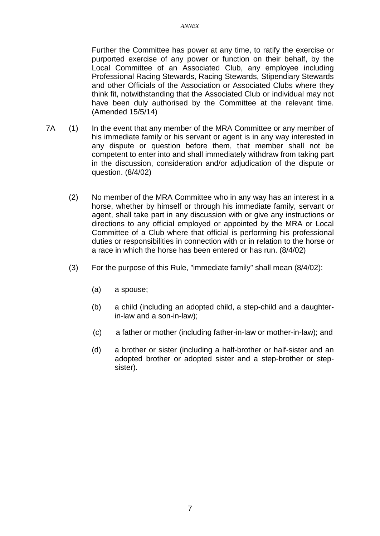Further the Committee has power at any time, to ratify the exercise or purported exercise of any power or function on their behalf, by the Local Committee of an Associated Club, any employee including Professional Racing Stewards, Racing Stewards, Stipendiary Stewards and other Officials of the Association or Associated Clubs where they think fit, notwithstanding that the Associated Club or individual may not have been duly authorised by the Committee at the relevant time. (Amended 15/5/14)

- 7A (1) In the event that any member of the MRA Committee or any member of his immediate family or his servant or agent is in any way interested in any dispute or question before them, that member shall not be competent to enter into and shall immediately withdraw from taking part in the discussion, consideration and/or adjudication of the dispute or question. (8/4/02)
	- (2) No member of the MRA Committee who in any way has an interest in a horse, whether by himself or through his immediate family, servant or agent, shall take part in any discussion with or give any instructions or directions to any official employed or appointed by the MRA or Local Committee of a Club where that official is performing his professional duties or responsibilities in connection with or in relation to the horse or a race in which the horse has been entered or has run. (8/4/02)
	- (3) For the purpose of this Rule, "immediate family" shall mean (8/4/02):
		- (a) a spouse;
		- (b) a child (including an adopted child, a step-child and a daughterin-law and a son-in-law);
		- (c) a father or mother (including father-in-law or mother-in-law); and
		- (d) a brother or sister (including a half-brother or half-sister and an adopted brother or adopted sister and a step-brother or stepsister).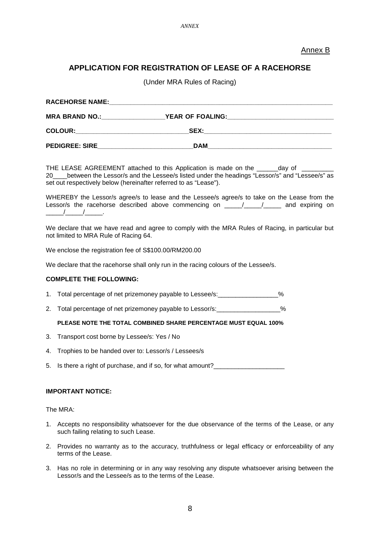### Annex B

### **APPLICATION FOR REGISTRATION OF LEASE OF A RACEHORSE**

(Under MRA Rules of Racing)

| <b>RACEHORSE NAME:</b> |                         |  |
|------------------------|-------------------------|--|
| <b>MRA BRAND NO.:</b>  | <b>YEAR OF FOALING:</b> |  |
| <b>COLOUR:</b>         | SEX:                    |  |
| <b>PEDIGREE: SIRE</b>  | <b>DAM</b>              |  |

THE LEASE AGREEMENT attached to this Application is made on the \_\_\_\_\_\_day of 20\_\_\_\_between the Lessor/s and the Lessee/s listed under the headings "Lessor/s" and "Lessee/s" as set out respectively below (hereinafter referred to as "Lease").

WHEREBY the Lessor/s agree/s to lease and the Lessee/s agree/s to take on the Lease from the Lessor/s the racehorse described above commencing on  $\frac{1}{\sqrt{1-\frac{1}{1-\frac{1}{1-\cdots}}}}$  and expiring on  $\sqrt{2}$ 

We declare that we have read and agree to comply with the MRA Rules of Racing, in particular but not limited to MRA Rule of Racing 64.

We enclose the registration fee of S\$100.00/RM200.00

We declare that the racehorse shall only run in the racing colours of the Lessee/s.

#### **COMPLETE THE FOLLOWING:**

- 1. Total percentage of net prizemoney payable to Lessee/s:\_\_\_\_\_\_\_\_\_\_\_\_\_\_\_\_\_%
- 2. Total percentage of net prizemoney payable to Lessor/s:

#### **PLEASE NOTE THE TOTAL COMBINED SHARE PERCENTAGE MUST EQUAL 100%**

- 3. Transport cost borne by Lessee/s: Yes / No
- 4. Trophies to be handed over to: Lessor/s / Lessees/s
- 5. Is there a right of purchase, and if so, for what amount?

#### **IMPORTANT NOTICE:**

The MRA:

- 1. Accepts no responsibility whatsoever for the due observance of the terms of the Lease, or any such failing relating to such Lease.
- 2. Provides no warranty as to the accuracy, truthfulness or legal efficacy or enforceability of any terms of the Lease.
- 3. Has no role in determining or in any way resolving any dispute whatsoever arising between the Lessor/s and the Lessee/s as to the terms of the Lease.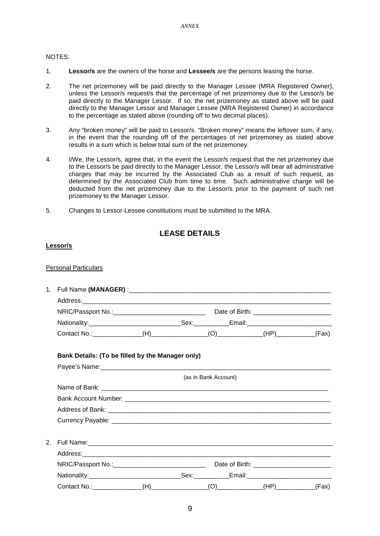#### NOTES:

- 1. **Lessor/s** are the owners of the horse and **Lessee/s** are the persons leasing the horse.
- 2. The net prizemoney will be paid directly to the Manager Lessee (MRA Registered Owner), unless the Lessor/s request/s that the percentage of net prizemoney due to the Lessor/s be paid directly to the Manager Lessor. If so, the net prizemoney as stated above will be paid directly to the Manager Lessor and Manager Lessee (MRA Registered Owner) in accordance to the percentage as stated above (rounding off to two decimal places).
- 3. Any "broken money" will be paid to Lessor/s. "Broken money" means the leftover sum, if any, in the event that the rounding off of the percentages of net prizemoney as stated above results in a sum which is below total sum of the net prizemoney.
- 4. I/We, the Lessor/s, agree that, in the event the Lessor/s request that the net prizemoney due to the Lessor/s be paid directly to the Manager Lessor, the Lessor/s will bear all administrative charges that may be incurred by the Associated Club as a result of such request, as determined by the Associated Club from time to time. Such administrative charge will be deducted from the net prizemoney due to the Lessor/s prior to the payment of such net prizemoney to the Manager Lessor.
- 5. Changes to Lessor-Lessee constitutions must be submitted to the MRA.

## **LEASE DETAILS**

#### **Lessor/s**

#### Personal Particulars

|                | Bank Details: (To be filled by the Manager only)                                                    |  |                      |       |
|----------------|-----------------------------------------------------------------------------------------------------|--|----------------------|-------|
|                |                                                                                                     |  |                      |       |
|                |                                                                                                     |  | (as in Bank Account) |       |
|                |                                                                                                     |  |                      |       |
|                |                                                                                                     |  |                      |       |
|                |                                                                                                     |  |                      |       |
|                |                                                                                                     |  |                      |       |
| 2 <sup>1</sup> |                                                                                                     |  |                      |       |
|                |                                                                                                     |  |                      |       |
|                | NRIC/Passport No.:___________________________________ Date of Birth: ______________________________ |  |                      |       |
|                |                                                                                                     |  |                      |       |
|                | Contact No.: ________________                                                                       |  |                      | (Fax) |